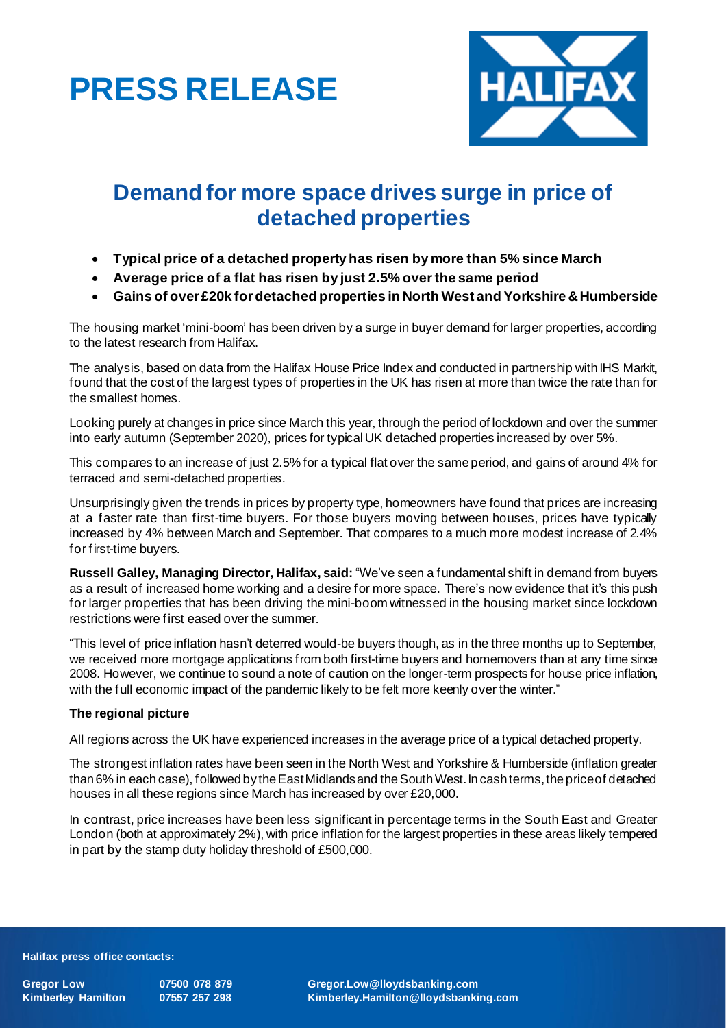# **PRESS RELEASE**



# **Demand for more space drives surge in price of detached properties**

- **Typical price of a detached property has risen by more than 5% since March**
- **Average price of a flat has risen by just 2.5% over the same period**
- **Gains of over £20k fordetached properties in North West and Yorkshire & Humberside**

The housing market 'mini-boom' has been driven by a surge in buyer demand for larger properties, according to the latest research from Halifax.

The analysis, based on data from the Halifax House Price Index and conducted in partnership with IHS Markit, found that the cost of the largest types of properties in the UK has risen at more than twice the rate than for the smallest homes.

Looking purely at changes in price since March this year, through the period of lockdown and over the summer into early autumn (September 2020), prices for typical UK detached properties increased by over 5%.

This compares to an increase of just 2.5% for a typical flat over the same period, and gains of around 4% for terraced and semi-detached properties.

Unsurprisingly given the trends in prices by property type, homeowners have found that prices are increasing at a faster rate than first-time buyers. For those buyers moving between houses, prices have typically increased by 4% between March and September. That compares to a much more modest increase of 2.4% for first-time buyers.

**Russell Galley, Managing Director, Halifax, said:** "We've seen a fundamental shift in demand from buyers as a result of increased home working and a desire for more space. There's now evidence that it's this push for larger properties that has been driving the mini-boom witnessed in the housing market since lockdown restrictions were first eased over the summer.

"This level of price inflation hasn't deterred would-be buyers though, as in the three months up to September, we received more mortgage applications from both first-time buyers and homemovers than at any time since 2008. However, we continue to sound a note of caution on the longer-term prospects for house price inflation, with the full economic impact of the pandemic likely to be felt more keenly over the winter."

# **The regional picture**

All regions across the UK have experienced increases in the average price of a typical detached property.

The strongest inflation rates have been seen in the North West and Yorkshire & Humberside (inflation greater than 6% in each case), followed by the East Midlands and the South West. In cash terms, the price of detached houses in all these regions since March has increased by over £20,000.

In contrast, price increases have been less significant in percentage terms in the South East and Greater London (both at approximately 2%), with price inflation for the largest properties in these areas likely tempered in part by the stamp duty holiday threshold of £500,000.

#### **Halifax press office contacts:**

**Gregor Low 07500 078 879 Gregor.Low@lloydsbanking.com Kimberley Hamilton 07557 257 298 Kimberley.Hamilton@lloydsbanking.com**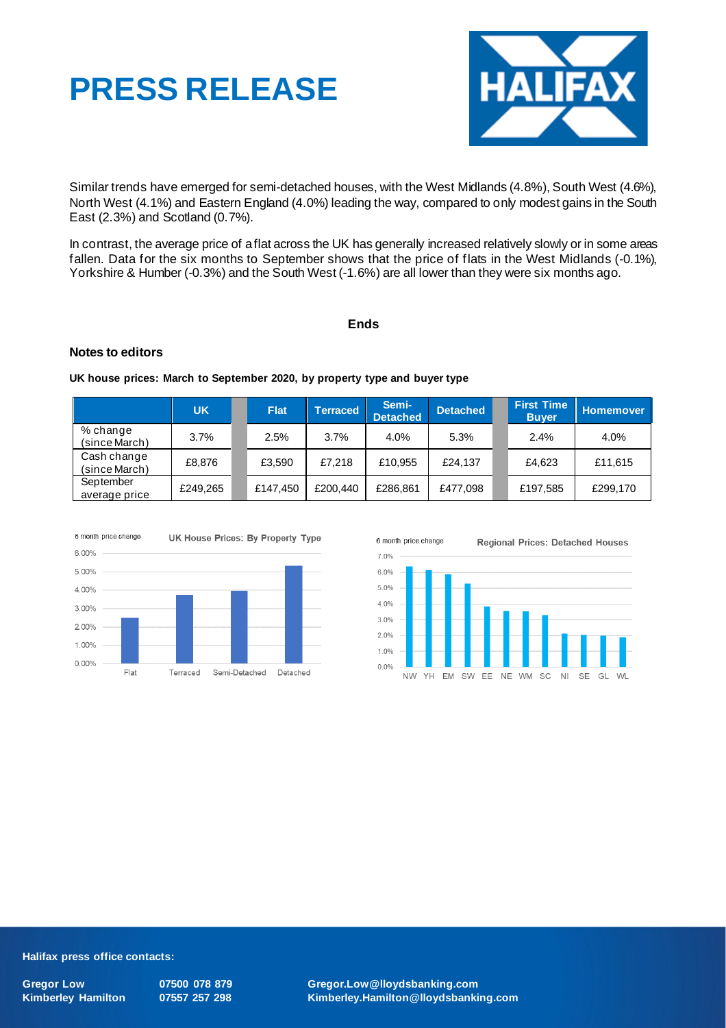



Similar trends have emerged for semi-detached houses, with the West Midlands (4.8%), South West (4.6%), North West (4.1%) and Eastern England (4.0%) leading the way, compared to only modest gains in the South East (2.3%) and Scotland (0.7%).

In contrast, the average price of a flat across the UK has generally increased relatively slowly or in some areas fallen. Data for the six months to September shows that the price of flats in the West Midlands (-0.1%), Yorkshire & Humber (-0.3%) and the South West (-1.6%) are all lower than they were six months ago.

## **Ends**

## **Notes to editors**

**UK house prices: March to September 2020, by property type and buyer type**

|                              | <b>UK</b> | <b>Flat</b> | <b>Terraced</b> | Semi-<br><b>Detached</b> | <b>Detached</b> | <b>First Time</b><br><b>Buyer</b> | Homemover |
|------------------------------|-----------|-------------|-----------------|--------------------------|-----------------|-----------------------------------|-----------|
| % change<br>(since March)    | 3.7%      | 2.5%        | 3.7%            | 4.0%                     | 5.3%            | 2.4%                              | 4.0%      |
| Cash change<br>(since March) | £8,876    | £3.590      | £7,218          | £10,955                  | £24.137         | £4.623                            | £11,615   |
| September<br>average price   | £249,265  | £147,450    | £200,440        | £286,861                 | £477.098        | £197,585                          | £299,170  |





#### **Halifax press office contacts:**

**Gregor Low 07500 078 879 Gregor.Low@lloydsbanking.com Kimberley Hamilton 07557 257 298 Kimberley.Hamilton@lloydsbanking.com**